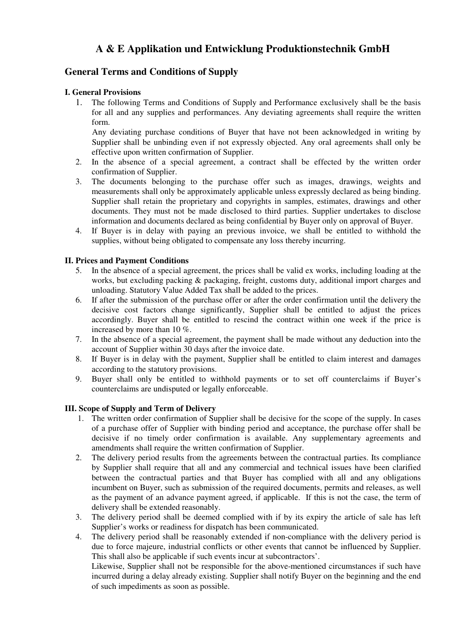# **A & E Applikation und Entwicklung Produktionstechnik GmbH**

# **General Terms and Conditions of Supply**

# **I. General Provisions**

1. The following Terms and Conditions of Supply and Performance exclusively shall be the basis for all and any supplies and performances. Any deviating agreements shall require the written form.

 Any deviating purchase conditions of Buyer that have not been acknowledged in writing by Supplier shall be unbinding even if not expressly objected. Any oral agreements shall only be effective upon written confirmation of Supplier.

- 2. In the absence of a special agreement, a contract shall be effected by the written order confirmation of Supplier.
- 3. The documents belonging to the purchase offer such as images, drawings, weights and measurements shall only be approximately applicable unless expressly declared as being binding. Supplier shall retain the proprietary and copyrights in samples, estimates, drawings and other documents. They must not be made disclosed to third parties. Supplier undertakes to disclose information and documents declared as being confidential by Buyer only on approval of Buyer.
- 4. If Buyer is in delay with paying an previous invoice, we shall be entitled to withhold the supplies, without being obligated to compensate any loss thereby incurring.

# **II. Prices and Payment Conditions**

- 5. In the absence of a special agreement, the prices shall be valid ex works, including loading at the works, but excluding packing & packaging, freight, customs duty, additional import charges and unloading. Statutory Value Added Tax shall be added to the prices.
- 6. If after the submission of the purchase offer or after the order confirmation until the delivery the decisive cost factors change significantly, Supplier shall be entitled to adjust the prices accordingly. Buyer shall be entitled to rescind the contract within one week if the price is increased by more than 10 %.
- 7. In the absence of a special agreement, the payment shall be made without any deduction into the account of Supplier within 30 days after the invoice date.
- 8. If Buyer is in delay with the payment, Supplier shall be entitled to claim interest and damages according to the statutory provisions.
- 9. Buyer shall only be entitled to withhold payments or to set off counterclaims if Buyer's counterclaims are undisputed or legally enforceable.

#### **III. Scope of Supply and Term of Delivery**

- 1. The written order confirmation of Supplier shall be decisive for the scope of the supply. In cases of a purchase offer of Supplier with binding period and acceptance, the purchase offer shall be decisive if no timely order confirmation is available. Any supplementary agreements and amendments shall require the written confirmation of Supplier.
- 2. The delivery period results from the agreements between the contractual parties. Its compliance by Supplier shall require that all and any commercial and technical issues have been clarified between the contractual parties and that Buyer has complied with all and any obligations incumbent on Buyer, such as submission of the required documents, permits and releases, as well as the payment of an advance payment agreed, if applicable. If this is not the case, the term of delivery shall be extended reasonably.
- 3. The delivery period shall be deemed complied with if by its expiry the article of sale has left Supplier's works or readiness for dispatch has been communicated.
- 4. The delivery period shall be reasonably extended if non-compliance with the delivery period is due to force majeure, industrial conflicts or other events that cannot be influenced by Supplier. This shall also be applicable if such events incur at subcontractors'.

 Likewise, Supplier shall not be responsible for the above-mentioned circumstances if such have incurred during a delay already existing. Supplier shall notify Buyer on the beginning and the end of such impediments as soon as possible.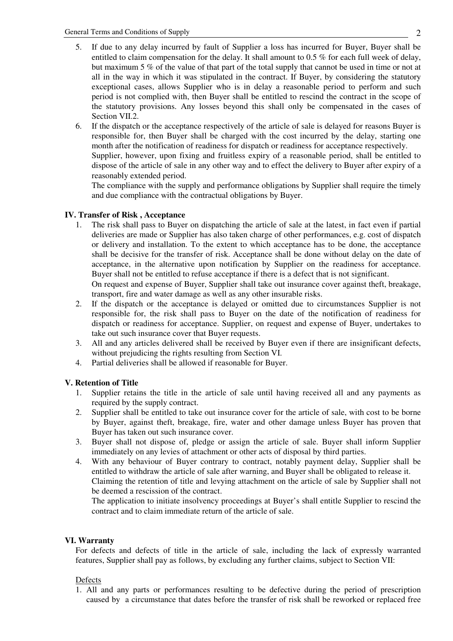- 5. If due to any delay incurred by fault of Supplier a loss has incurred for Buyer, Buyer shall be entitled to claim compensation for the delay. It shall amount to 0.5 % for each full week of delay, but maximum 5 % of the value of that part of the total supply that cannot be used in time or not at all in the way in which it was stipulated in the contract. If Buyer, by considering the statutory exceptional cases, allows Supplier who is in delay a reasonable period to perform and such period is not complied with, then Buyer shall be entitled to rescind the contract in the scope of the statutory provisions. Any losses beyond this shall only be compensated in the cases of Section VII.2.
- 6. If the dispatch or the acceptance respectively of the article of sale is delayed for reasons Buyer is responsible for, then Buyer shall be charged with the cost incurred by the delay, starting one month after the notification of readiness for dispatch or readiness for acceptance respectively. Supplier, however, upon fixing and fruitless expiry of a reasonable period, shall be entitled to dispose of the article of sale in any other way and to effect the delivery to Buyer after expiry of a

reasonably extended period. The compliance with the supply and performance obligations by Supplier shall require the timely and due compliance with the contractual obligations by Buyer.

# **IV. Transfer of Risk , Acceptance**

1. The risk shall pass to Buyer on dispatching the article of sale at the latest, in fact even if partial deliveries are made or Supplier has also taken charge of other performances, e.g. cost of dispatch or delivery and installation. To the extent to which acceptance has to be done, the acceptance shall be decisive for the transfer of risk. Acceptance shall be done without delay on the date of acceptance, in the alternative upon notification by Supplier on the readiness for acceptance. Buyer shall not be entitled to refuse acceptance if there is a defect that is not significant.

 On request and expense of Buyer, Supplier shall take out insurance cover against theft, breakage, transport, fire and water damage as well as any other insurable risks.

- 2. If the dispatch or the acceptance is delayed or omitted due to circumstances Supplier is not responsible for, the risk shall pass to Buyer on the date of the notification of readiness for dispatch or readiness for acceptance. Supplier, on request and expense of Buyer, undertakes to take out such insurance cover that Buyer requests.
- 3. All and any articles delivered shall be received by Buyer even if there are insignificant defects, without prejudicing the rights resulting from Section VI.
- 4. Partial deliveries shall be allowed if reasonable for Buyer.

#### **V. Retention of Title**

- 1. Supplier retains the title in the article of sale until having received all and any payments as required by the supply contract.
- 2. Supplier shall be entitled to take out insurance cover for the article of sale, with cost to be borne by Buyer, against theft, breakage, fire, water and other damage unless Buyer has proven that Buyer has taken out such insurance cover.
- 3. Buyer shall not dispose of, pledge or assign the article of sale. Buyer shall inform Supplier immediately on any levies of attachment or other acts of disposal by third parties.
- 4. With any behaviour of Buyer contrary to contract, notably payment delay, Supplier shall be entitled to withdraw the article of sale after warning, and Buyer shall be obligated to release it. Claiming the retention of title and levying attachment on the article of sale by Supplier shall not be deemed a rescission of the contract.

 The application to initiate insolvency proceedings at Buyer's shall entitle Supplier to rescind the contract and to claim immediate return of the article of sale.

#### **VI. Warranty**

For defects and defects of title in the article of sale, including the lack of expressly warranted features, Supplier shall pay as follows, by excluding any further claims, subject to Section VII:

#### Defects

1. All and any parts or performances resulting to be defective during the period of prescription caused by a circumstance that dates before the transfer of risk shall be reworked or replaced free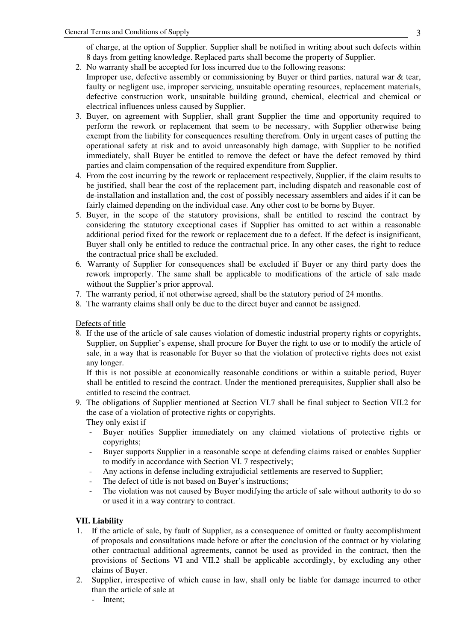of charge, at the option of Supplier. Supplier shall be notified in writing about such defects within 8 days from getting knowledge. Replaced parts shall become the property of Supplier.

- 2. No warranty shall be accepted for loss incurred due to the following reasons:
- Improper use, defective assembly or commissioning by Buyer or third parties, natural war & tear, faulty or negligent use, improper servicing, unsuitable operating resources, replacement materials, defective construction work, unsuitable building ground, chemical, electrical and chemical or electrical influences unless caused by Supplier.
- 3. Buyer, on agreement with Supplier, shall grant Supplier the time and opportunity required to perform the rework or replacement that seem to be necessary, with Supplier otherwise being exempt from the liability for consequences resulting therefrom. Only in urgent cases of putting the operational safety at risk and to avoid unreasonably high damage, with Supplier to be notified immediately, shall Buyer be entitled to remove the defect or have the defect removed by third parties and claim compensation of the required expenditure from Supplier.
- 4. From the cost incurring by the rework or replacement respectively, Supplier, if the claim results to be justified, shall bear the cost of the replacement part, including dispatch and reasonable cost of de-installation and installation and, the cost of possibly necessary assemblers and aides if it can be fairly claimed depending on the individual case. Any other cost to be borne by Buyer.
- 5. Buyer, in the scope of the statutory provisions, shall be entitled to rescind the contract by considering the statutory exceptional cases if Supplier has omitted to act within a reasonable additional period fixed for the rework or replacement due to a defect. If the defect is insignificant, Buyer shall only be entitled to reduce the contractual price. In any other cases, the right to reduce the contractual price shall be excluded.
- 6. Warranty of Supplier for consequences shall be excluded if Buyer or any third party does the rework improperly. The same shall be applicable to modifications of the article of sale made without the Supplier's prior approval.
- 7. The warranty period, if not otherwise agreed, shall be the statutory period of 24 months.
- 8. The warranty claims shall only be due to the direct buyer and cannot be assigned.

#### Defects of title

8. If the use of the article of sale causes violation of domestic industrial property rights or copyrights, Supplier, on Supplier's expense, shall procure for Buyer the right to use or to modify the article of sale, in a way that is reasonable for Buyer so that the violation of protective rights does not exist any longer.

 If this is not possible at economically reasonable conditions or within a suitable period, Buyer shall be entitled to rescind the contract. Under the mentioned prerequisites, Supplier shall also be entitled to rescind the contract.

9. The obligations of Supplier mentioned at Section VI.7 shall be final subject to Section VII.2 for the case of a violation of protective rights or copyrights.

They only exist if

- Buyer notifies Supplier immediately on any claimed violations of protective rights or copyrights;
- Buyer supports Supplier in a reasonable scope at defending claims raised or enables Supplier to modify in accordance with Section VI. 7 respectively;
- Any actions in defense including extrajudicial settlements are reserved to Supplier;
- The defect of title is not based on Buyer's instructions;
- The violation was not caused by Buyer modifying the article of sale without authority to do so or used it in a way contrary to contract.

# **VII. Liability**

- 1. If the article of sale, by fault of Supplier, as a consequence of omitted or faulty accomplishment of proposals and consultations made before or after the conclusion of the contract or by violating other contractual additional agreements, cannot be used as provided in the contract, then the provisions of Sections VI and VII.2 shall be applicable accordingly, by excluding any other claims of Buyer.
- 2. Supplier, irrespective of which cause in law, shall only be liable for damage incurred to other than the article of sale at
	- Intent;